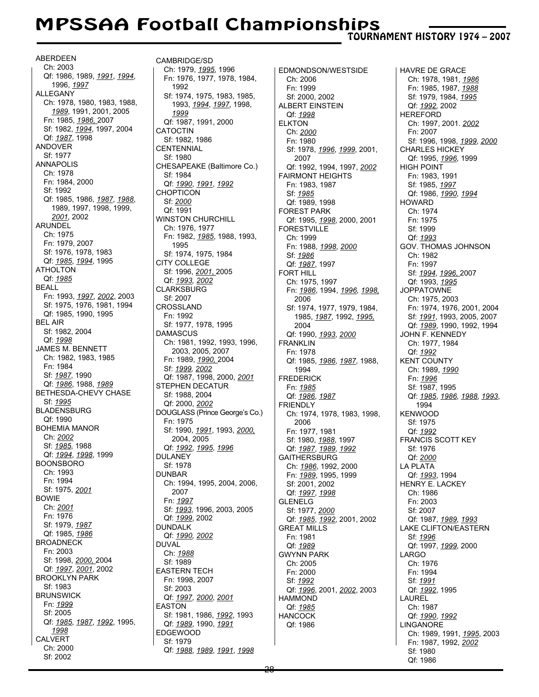## MPSSAA Football Championships

TOURNAMENT HISTORY 1974 – 2007

**ABERDEEN** Ch: 2003 Qf: 1986, 1989, *1991*, *1994*, 1996, *1997* ALLEGANY Ch: 1978, 1980, 1983, 1988, *1989*, 1991, 2001, 2005 Fn: 1985, *1986,* 2007 Sf: 1982, *1994*, 1997, 2004 Qf: *1987*, 1998 ANDOVER Sf: 1977 ANNAPOLIS Ch: 1978 Fn: 1984, 2000 Sf: 1992 Qf: 1985, 1986, *1987*, *1988*, 1989, 1997, 1998, 1999, *2001,* 2002 ARUNDEL Ch: 1975 Fn: 1979, 2007 Sf: 1976, 1978, 1983 Qf: *1985*, *1994*, 1995 ATHOLTON Qf: *1985* BEALL Fn: 1993, *1997*, *2002*, 2003 Sf: 1975, 1976, 1981, 1994 Qf: 1985, 1990, 1995 BEL AIR Sf: 1982, 2004 Qf: *1998* JAMES M. BENNETT Ch: 1982, 1983, 1985 Fn: 1984 Sf: *1987*, 1990 Qf: *1986*, 1988, *1989* BETHESDA-CHEVY CHASE Sf: *1995* BLADENSBURG Qf: 1990 BOHEMIA MANOR Ch: *2002* Sf: *1985*, 1988 Qf: *1994*, *1998*, 1999 BOONSBORO Ch: 1993 Fn: 1994 Sf: 1975, *2001* BOWIE Ch: *2001* Fn: 1976 Sf: 1979, *1987* Qf: 1985, *1986* BROADNECK Fn: 2003 Sf: 1998, *2000,* 2004 Qf: *1997*, *2001*, 2002 BROOKLYN PARK Sf: 1983 BRUNSWICK Fn: *1999* Sf: 2005 Qf: *1985*, *1987*, *1992*, 1995, *1998* CALVERT Ch: 2000 Sf: 2002

CAMBRIDGE/SD Ch: 1979, *1995*, 1996 Fn: 1976, 1977, 1978, 1984, 1992 Sf: 1974, 1975, 1983, 1985, 1993, *1994*, *1997*, 1998, *1999* Qf: 1987, 1991, 2000 CATOCTIN Sf: 1982, 1986 **CENTENNIAL** Sf: 1980 CHESAPEAKE (Baltimore Co.) Sf: 1984 Qf: *1990*, *1991*, *1992* CHOPTICON Sf: *2000* Qf: 1991 WINSTON CHURCHILL Ch: 1976, 1977 Fn: 1982, *1985*, 1988, 1993, 1995 Sf: 1974, 1975, 1984 CITY COLLEGE Sf: 1996, *2001*, 2005 Qf: *1993, 2002* CLARKSBURG Sf: 2007 CROSSLAND Fn: 1992 Sf: 1977, 1978, 1995 DAMASCUS Ch: 1981, 1992, 1993, 1996, 2003, 2005, 2007 Fn: 1989, *1990,* 2004 Sf: *1999, 2002* Qf: 1987, 1998, 2000, *2001* STEPHEN DECATUR Sf: 1988, 2004 Qf: 2000, *2002* DOUGLASS (Prince George's Co.) Fn: 1975 Sf: 1990, *1991*, 1993, *2000,* 2004, 2005 Qf: *1992*, *1995*, *1996* DULANEY Sf: 1978 DUNBAR Ch: 1994, 1995, 2004, 2006, 2007 Fn: *1997* Sf: *1993*, 1996, 2003, 2005 Qf: *1999*, 2002 DUNDALK Qf: *1990, 2002* DUVAL Ch: *1988* Sf: 1989 EASTERN TECH Fn: 1998, 2007 Sf: 2003 Qf: *1997*, *2000*, *2001* EASTON Sf: 1981, 1986, *1992*, 1993 Qf: *1989*, 1990, *1991* EDGEWOOD Sf: 1979 Qf: *1988*, *1989*, *1991*, *1998*

EDMONDSON/WESTSIDE Ch: 2006 Fn: 1999 Sf: 2000, 2002 ALBERT EINSTEIN Qf: *1998* ELKTON Ch: *2000* Fn: 1980 Sf: 1978, *1996*, *1999*, 2001, 2007 Qf: 1992, 1994, 1997, *2002* FAIRMONT HEIGHTS Fn: 1983, 1987 Sf: *1985* Qf: 1989, 1998 FOREST PARK Qf: 1995, *1998*, 2000, 2001 FORESTVILLE Ch: 1999 Fn: 1988, *1998*, *2000* Sf: *1986* Qf: *1987*, 1997 FORT HILL Ch: 1975, 1997 Fn: *1986*, 1994, *1996*, *1998,* 2006 Sf: 1974, 1977, 1979, 1984, 1985, *1987*, 1992, *1995,* 2004 Qf: 1990, *1993*, *2000* FRANKLIN Fn: 1978 Qf: 1985, *1986*, *1987*, 1988, 1994 FREDERICK Fn: *1985* Qf: *1986*, *1987* FRIENDLY Ch: 1974, 1978, 1983, 1998, 2006 Fn: 1977, 1981 Sf: 1980, *1988*, 1997 Qf: *1987*, *1989*, *1992* GAITHERSBURG Ch: *1986*, 1992, 2000 Fn: *1989*, 1995, 1999 Sf: 2001, 2002 Qf: *1997*, *1998* GLENELG Sf: 1977, *2000* Qf: *1985*, *1992*, 2001, 2002 GREAT MILLS Fn: 1981 Qf: *1989* GWYNN PARK Ch: 2005 Fn: 2000 Sf: *1992* Qf: *1996*, 2001, *2002*, 2003 HAMMOND Qf: *1985* HANCOCK Qf: 1986

HAVRE DE GRACE Ch: 1978, 1981, *1986* Fn: 1985, 1987, *1988* Sf: 1979, 1984, *1995* Qf: *1992,* 2002 HEREFORD Ch: 1997, 2001. *2002* Fn: 2007 Sf: 1996, 1998, *1999*, *2000* CHARLES HICKEY Qf: 1995, *1996*, 1999 HIGH POINT Fn: 1983, 1991 Sf: 1985, *1997* Qf: 1986, *1990*, *1994* **HOWARD** Ch: 1974 Fn: 1975 Sf: 1999 Qf: *1993* GOV. THOMAS JOHNSON Ch: 1982 Fn: 1997 Sf: *1994*, *1996,* 2007 Qf: 1993, *1995* JOPPATOWNE Ch: 1975, 2003 Fn: 1974, 1976, 2001, 2004 Sf: *1991*, 1993, 2005, 2007 Qf: *1989*, 1990, 1992, 1994 JOHN F. KENNEDY Ch: 1977, 1984 Qf: *1992* KENT COUNTY Ch: 1989, *1990* Fn: *1996* Sf: 1987, 1995 Qf: *1985*, *1986*, *1988*, *1993*, 1994 KENWOOD Sf: 1975 Qf: *1992* FRANCIS SCOTT KEY Sf: 1976 Qf: *2000* LA PLATA Qf: *1993*, 1994 HENRY E. LACKEY Ch: 1986 Fn: 2003 Sf: 2007 Qf: 1987, *1989*, *1993* LAKE CLIFTON/EASTERN Sf: *1996* Qf: 1997, *1999*, 2000 LARGO Ch: 1976 Fn: 1994 Sf: *1991* Qf: *1992*, 1995 LAUREL Ch: 1987 Qf: *1990*, *1992* LINGANORE Ch: 1989, 1991, *1995*, 2003 Fn: 1987, 1992, *2002* Sf: 1980 Qf: 1986